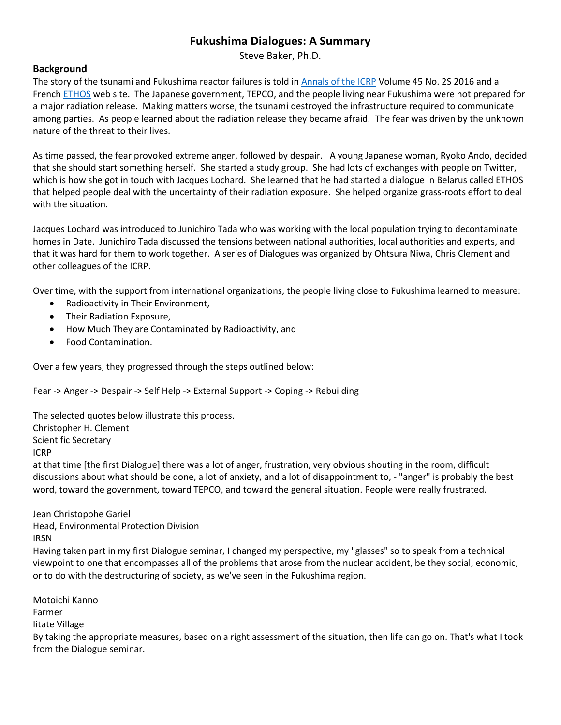## **Fukushima Dialogues: A Summary**

Steve Baker, Ph.D.

## **Background**

The story of the tsunami and Fukushima reactor failures is told in [Annals of the ICRP](http://www.umtanum.com/TopicalManagedFiles/Policy/FUKUSHIMA%20DIALOGUE.2015.ANIB_45_2S.pdf) Volume 45 No. 2S 2016 and a French **ETHOS** web site. The Japanese government, TEPCO, and the people living near Fukushima were not prepared for a major radiation release. Making matters worse, the tsunami destroyed the infrastructure required to communicate among parties. As people learned about the radiation release they became afraid. The fear was driven by the unknown nature of the threat to their lives.

As time passed, the fear provoked extreme anger, followed by despair. A young Japanese woman, Ryoko Ando, decided that she should start something herself. She started a study group. She had lots of exchanges with people on Twitter, which is how she got in touch with Jacques Lochard. She learned that he had started a dialogue in Belarus called ETHOS that helped people deal with the uncertainty of their radiation exposure. She helped organize grass-roots effort to deal with the situation.

Jacques Lochard was introduced to Junichiro Tada who was working with the local population trying to decontaminate homes in Date. Junichiro Tada discussed the tensions between national authorities, local authorities and experts, and that it was hard for them to work together. A series of Dialogues was organized by Ohtsura Niwa, Chris Clement and other colleagues of the ICRP.

Over time, with the support from international organizations, the people living close to Fukushima learned to measure:

- Radioactivity in Their Environment,
- Their Radiation Exposure,
- How Much They are Contaminated by Radioactivity, and
- Food Contamination.

Over a few years, they progressed through the steps outlined below:

Fear -> Anger -> Despair -> Self Help -> External Support -> Coping -> Rebuilding

The selected quotes below illustrate this process. Christopher H. Clement Scientific Secretary

ICRP

at that time [the first Dialogue] there was a lot of anger, frustration, very obvious shouting in the room, difficult discussions about what should be done, a lot of anxiety, and a lot of disappointment to, - "anger" is probably the best word, toward the government, toward TEPCO, and toward the general situation. People were really frustrated.

## Jean Christopohe Gariel

Head, Environmental Protection Division IRSN

Having taken part in my first Dialogue seminar, I changed my perspective, my "glasses" so to speak from a technical viewpoint to one that encompasses all of the problems that arose from the nuclear accident, be they social, economic, or to do with the destructuring of society, as we've seen in the Fukushima region.

Motoichi Kanno Farmer Iitate Village By taking the appropriate measures, based on a right assessment of the situation, then life can go on. That's what I took from the Dialogue seminar.